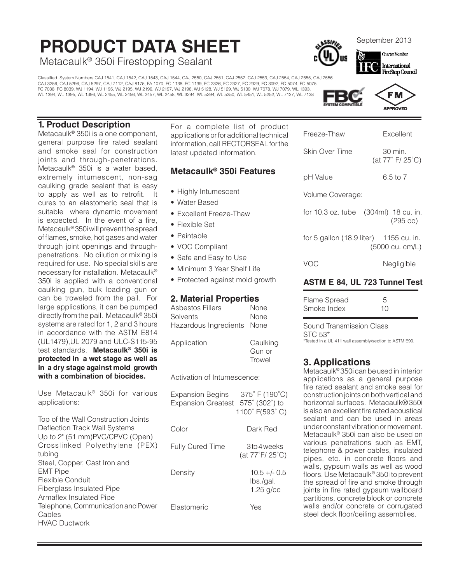# **PRODUCT DATA SHEET**<br>Metacaulk® 350i Firestopping Sealant<br>Metacaulk® 350i Firestopping Sealant

Classified System Numbers CAJ 1541, CAJ 1542, CAJ 1543, CAJ 1544, CAJ 2550, CAJ 2551, CAJ 2552, CAJ 2553, CAJ 2554, CAJ 2555, CAJ 2556 CAJ 3256, CAJ 5296, CAJ 5297, CAJ 7112, CAJ 8175, FA 1070, FC 1138, FC 1139, FC 2326, FC 2327, FC 2329, FC 3092, FC 5074, FC 5075, FC 7038, FC 8039, WJ 1194, WJ 1195, WJ 2195, WJ 2196, WJ 2197, WJ 2198, WJ 5128, WJ 5129, WJ 5130, WJ 7078, WJ 7079, WL 1393, WL 1394, WL 1395, WL 1396, WL 2455, WL 2456, WL 2457, WL 2458, WL 3294, WL 5294, WL 5250, WL 5451, WL 5252, WL 7137, WL 7138



#### **1. Product Description**

Metacaulk® 350i is a one component, general purpose fire rated sealant and smoke seal for construction joints and through-penetrations. Metacaulk® 350i is a water based, extremely intumescent, non-sag caulking grade sealant that is easy to apply as well as to retrofit. It cures to an elastomeric seal that is suitable where dynamic movement is expected. In the event of a fire, Metacaulk® 350i will prevent the spread of flames, smoke, hot gases and water through joint openings and throughpenetrations. No dilution or mixing is required for use. No special skills are necessary for installation. Metacaulk® 350i is applied with a conventional caulking gun, bulk loading gun or can be troweled from the pail. For large applications, it can be pumped directly from the pail. Metacaulk® 350i systems are rated for 1, 2 and 3 hours in accordance with the ASTM E814 (UL1479),UL 2079 and ULC-S115-95 test standards. **Metacaulk® 350i is protected in a wet stage as well as in a dry stage against mold growth with a combination of biocides.**

Use Metacaulk® 350i for various applications:

Top of the Wall Construction Joints Deflection Track Wall Systems Up to 2" (51 mm)PVC/CPVC (Open) Crosslinked Polyethylene (PEX) tubing Steel, Copper, Cast Iron and EMT Pipe Flexible Conduit Fiberglass Insulated Pipe Armaflex Insulated Pipe Telephone, Communication and Power Cables HVAC Ductwork

For a complete list of product applications or for additional technical information, call RECTORSEAL for the latest updated information.

#### **Metacaulk® 350i Features**

- Highly Intumescent
- Water Based
- Excellent Freeze-Thaw
- Flexible Set
- Paintable
- VOC Compliant
- Safe and Easy to Use
- Minimum 3 Year Shelf Life
- Protected against mold growth

#### **2. Material Properties**

| Asbestos Fillers           | None                         |
|----------------------------|------------------------------|
| Solvents                   | None                         |
| Hazardous Ingredients None |                              |
| Application                | Caulking<br>Gun or<br>Trowel |

Activation of Intumescence:

| <b>Expansion Begins</b><br><b>Expansion Greatest</b> | 375°F (190°C)<br>575° (302°) to<br>1100° F(593° C) |
|------------------------------------------------------|----------------------------------------------------|
| Color                                                | Dark Red                                           |
| <b>Fully Cured Time</b>                              | 3to 4 weeks<br>(at 77°F/ 25°C)                     |
| Density                                              | $10.5 + - 0.5$<br>lbs./gal.<br>$1.25$ g/cc         |
| Flastomeric                                          | Yes                                                |

| Freeze-Thaw | Excellent |
|-------------|-----------|
|             |           |

Skin Over Time 30 min.

(at 77˚ F/ 25˚C)

pH Value 6.5 to 7

Volume Coverage:

for 10.3 oz. tube (304ml) 18 cu. in. (295 cc)

for 5 gallon (18.9 liter) 1155 cu. in. (5000 cu. cm/L)

| VOC | Negligible |
|-----|------------|
|     |            |

#### **ASTM E 84, UL 723 Tunnel Test**

| Flame Spread | $\overline{5}$ |
|--------------|----------------|
| Smoke Index  | 10             |

Sound Transmission Class STC 53\* \*Tested in a UL 411 wall assembly/section to ASTM E90.

## **3. Applications**

Metacaulk® 350i can be used in interior applications as a general purpose fire rated sealant and smoke seal for construction joints on both vertical and horizontal surfaces. Metacaulk®350i is also an excellent fire rated acoustical sealant and can be used in areas under constant vibration or movement. Metacaulk® 350i can also be used on various penetrations such as EMT, telephone & power cables, insulated pipes, etc. in concrete floors and walls, gypsum walls as well as wood floors. Use Metacaulk® 350i to prevent the spread of fire and smoke through joints in fire rated gypsum wallboard partitions, concrete block or concrete walls and/or concrete or corrugated steel deck floor/ceiling assemblies.



**FireStop Council**